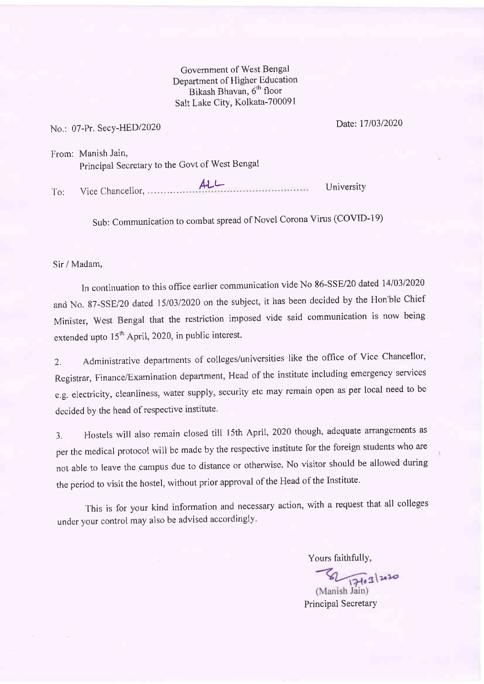Govemment of West Bengal Department of Higher Education Bikash Bhavan, 6<sup>th</sup> floor Salt Lake City, Kolkata-700091

## No.: 07-Pr. Secy-HED/2020

Date: 1710312020

From: Manish Jain, Principal Secretary to the Govt of West Bengal

To: Vice Chancellor. ALL- University

Sub: Communication to combat spread of Novel Corona Virus (COVID-I9)

## Sir / Madam,

In continuation to this office earlier communication vide No 86-SSE/20 dated 14/03/2020 and No. 87-SSE/20 dated 15/03/2020 on the subject, it has been decided by the Hon'ble Chief Minister, west Bengal that the restriction imposed vide said communication is now being extended upto  $15<sup>th</sup>$  April, 2020, in public interest.

2. Administrative departments of colleges/universities like the office of Vice Chancellor, Registrar, Finance/Examination department, Head of the institute including emergency services e.g. electricity, cleanliness, water supply, security etc may remain open as per local need to be decided by the head of respective institute.

3. Hostels will also remain closed tilt l5th April, 2020 though, adequate arrangements as per the medical protocol will be made by the respective institute for the foreign students who are not able to leave the campus due to distance or otherwise. No visitor should be allowed during the period to visit the hostel, without prior approval of the Head of the Institute.

This is for your kind information and necessary action, with a request that all colleges under your control may also be advised accordingly.

Yours faithfully,

 $\sqrt{\frac{171}{171}}$ 

Principal SecretarY